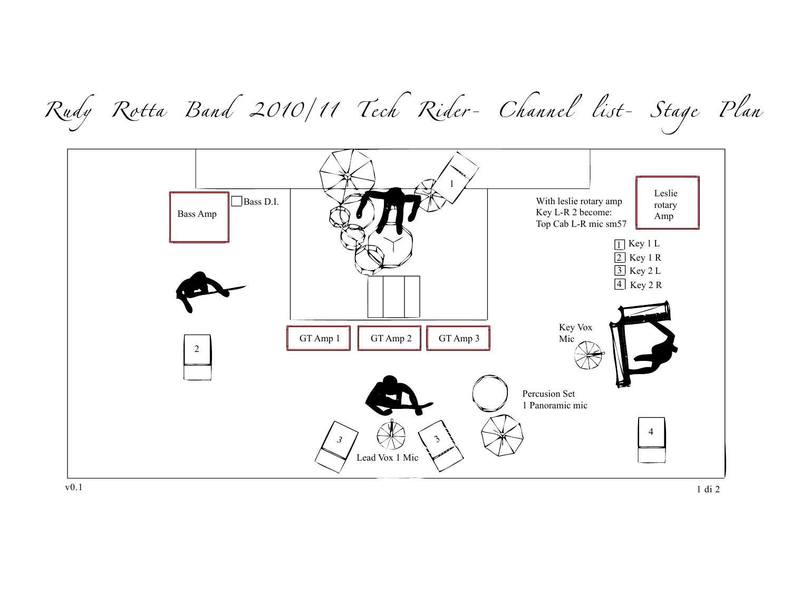Rudy Rotta Band 2010/11 Tech Rider- Channel list- Stage Plan